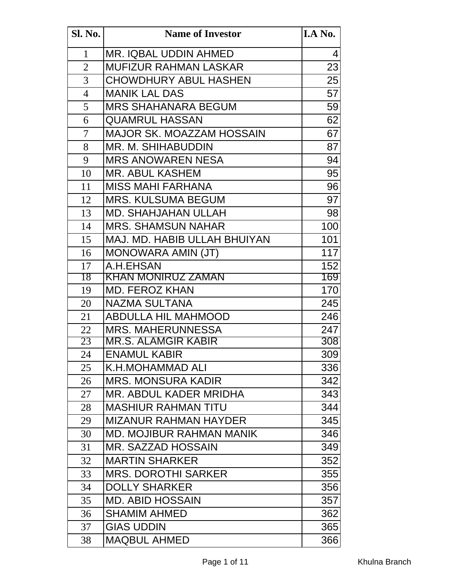| <b>Sl. No.</b> | <b>Name of Investor</b>          | I.A No. |
|----------------|----------------------------------|---------|
| $\mathbf{1}$   | MR. IQBAL UDDIN AHMED            | 4       |
| $\overline{2}$ | <b>MUFIZUR RAHMAN LASKAR</b>     | 23      |
| $\overline{3}$ | <b>CHOWDHURY ABUL HASHEN</b>     | 25      |
| $\overline{4}$ | <b>MANIK LAL DAS</b>             | 57      |
| 5              | <b>MRS SHAHANARA BEGUM</b>       | 59      |
| 6              | <b>QUAMRUL HASSAN</b>            | 62      |
| $\overline{7}$ | <b>MAJOR SK. MOAZZAM HOSSAIN</b> | 67      |
| 8              | <b>MR. M. SHIHABUDDIN</b>        | 87      |
| 9              | <b>MRS ANOWAREN NESA</b>         | 94      |
| 10             | <b>MR. ABUL KASHEM</b>           | 95      |
| 11             | <b>MISS MAHI FARHANA</b>         | 96      |
| 12             | <b>MRS. KULSUMA BEGUM</b>        | 97      |
| 13             | <b>MD. SHAHJAHAN ULLAH</b>       | 98      |
| 14             | <b>MRS. SHAMSUN NAHAR</b>        | 100     |
| 15             | MAJ. MD. HABIB ULLAH BHUIYAN     | 101     |
| 16             | MONOWARA AMIN (JT)               | 117     |
| 17             | A.H.EHSAN                        | 152     |
| 18             | <u>KHAN MONIRUZ ZAMAN</u>        | 169     |
| 19             | <b>MD. FEROZ KHAN</b>            | 170     |
| 20             | <b>NAZMA SULTANA</b>             | 245     |
| 21             | <b>ABDULLA HIL MAHMOOD</b>       | 246     |
| 22             | <b>MRS. MAHERUNNESSA</b>         | 247     |
| 23             | MR.S. ALAMGIR KABIR              | 308     |
| 24             | <b>ENAMUL KABIR</b>              | 309     |
| 25             | K.H.MOHAMMAD ALI                 | 336     |
| 26             | <b>MRS. MONSURA KADIR</b>        | 342     |
| 27             | MR. ABDUL KADER MRIDHA           | 343     |
| 28             | <b>MASHIUR RAHMAN TITU</b>       | 344     |
| 29             | <b>MIZANUR RAHMAN HAYDER</b>     | 345     |
| 30             | <b>MD. MOJIBUR RAHMAN MANIK</b>  | 346     |
| 31             | MR. SAZZAD HOSSAIN               | 349     |
| 32             | <b>MARTIN SHARKER</b>            | 352     |
| 33             | <b>MRS. DOROTHI SARKER</b>       | 355     |
| 34             | <b>DOLLY SHARKER</b>             | 356     |
| 35             | <b>MD. ABID HOSSAIN</b>          | 357     |
| 36             | <b>SHAMIM AHMED</b>              | 362     |
| 37             | <b>GIAS UDDIN</b>                | 365     |
| 38             | <b>MAQBUL AHMED</b>              | 366     |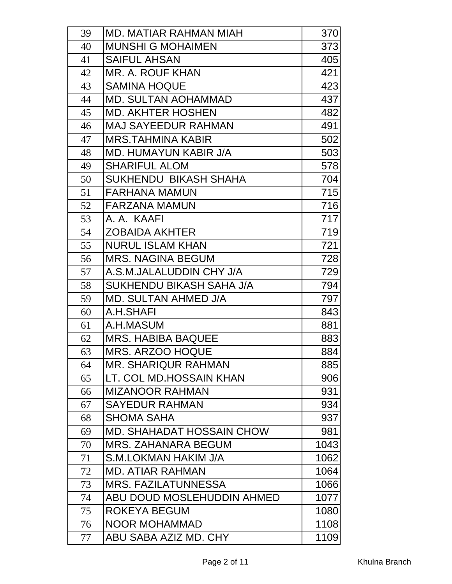| 39 | MD. MATIAR RAHMAN MIAH       | 370  |
|----|------------------------------|------|
| 40 | <b>MUNSHI G MOHAIMEN</b>     | 373  |
| 41 | <b>SAIFUL AHSAN</b>          | 405  |
| 42 | MR. A. ROUF KHAN             | 421  |
| 43 | <b>SAMINA HOQUE</b>          | 423  |
| 44 | <b>MD. SULTAN AOHAMMAD</b>   | 437  |
| 45 | <b>MD. AKHTER HOSHEN</b>     | 482  |
| 46 | <b>MAJ SAYEEDUR RAHMAN</b>   | 491  |
| 47 | <b>MRS.TAHMINA KABIR</b>     | 502  |
| 48 | <b>MD. HUMAYUN KABIR J/A</b> | 503  |
| 49 | <b>SHARIFUL ALOM</b>         | 578  |
| 50 | SUKHENDU BIKASH SHAHA        | 704  |
| 51 | <b>FARHANA MAMUN</b>         | 715  |
| 52 | <b>FARZANA MAMUN</b>         | 716  |
| 53 | A. A. KAAFI                  | 717  |
| 54 | <b>ZOBAIDA AKHTER</b>        | 719  |
| 55 | <b>NURUL ISLAM KHAN</b>      | 721  |
| 56 | <b>MRS. NAGINA BEGUM</b>     | 728  |
| 57 | A.S.M.JALALUDDIN CHY J/A     | 729  |
| 58 | SUKHENDU BIKASH SAHA J/A     | 794  |
| 59 | <b>MD. SULTAN AHMED J/A</b>  | 797  |
| 60 | A.H.SHAFI                    | 843  |
| 61 | A.H.MASUM                    | 881  |
| 62 | <b>MRS. HABIBA BAQUEE</b>    | 883  |
| 63 | <b>MRS. ARZOO HOQUE</b>      | 884  |
| 64 | <b>MR. SHARIQUR RAHMAN</b>   | 885  |
| 65 | LT. COL MD.HOSSAIN KHAN      | 906  |
| 66 | <b>MIZANOOR RAHMAN</b>       | 931  |
| 67 | <b>SAYEDUR RAHMAN</b>        | 934  |
| 68 | <b>SHOMA SAHA</b>            | 937  |
| 69 | MD. SHAHADAT HOSSAIN CHOW    | 981  |
| 70 | <b>MRS. ZAHANARA BEGUM</b>   | 1043 |
| 71 | S.M.LOKMAN HAKIM J/A         | 1062 |
| 72 | <b>MD. ATIAR RAHMAN</b>      | 1064 |
| 73 | <b>MRS. FAZILATUNNESSA</b>   | 1066 |
| 74 | ABU DOUD MOSLEHUDDIN AHMED   | 1077 |
| 75 | ROKEYA BEGUM                 | 1080 |
| 76 | <b>NOOR MOHAMMAD</b>         | 1108 |
| 77 | ABU SABA AZIZ MD. CHY        | 1109 |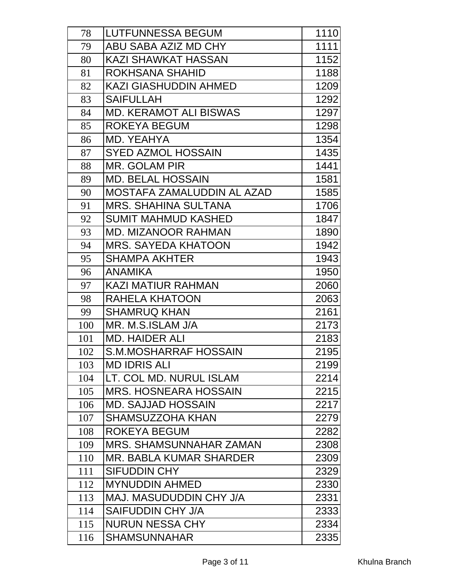| 78  | <b>LUTFUNNESSA BEGUM</b>       | 1110 |
|-----|--------------------------------|------|
| 79  | ABU SABA AZIZ MD CHY           | 1111 |
| 80  | <b>KAZI SHAWKAT HASSAN</b>     | 1152 |
| 81  | ROKHSANA SHAHID                | 1188 |
| 82  | <b>KAZI GIASHUDDIN AHMED</b>   | 1209 |
| 83  | <b>SAIFULLAH</b>               | 1292 |
| 84  | <b>MD. KERAMOT ALI BISWAS</b>  | 1297 |
| 85  | ROKEYA BEGUM                   | 1298 |
| 86  | MD. YEAHYA                     | 1354 |
| 87  | <b>SYED AZMOL HOSSAIN</b>      | 1435 |
| 88  | <b>MR. GOLAM PIR</b>           | 1441 |
| 89  | <b>MD. BELAL HOSSAIN</b>       | 1581 |
| 90  | MOSTAFA ZAMALUDDIN AL AZAD     | 1585 |
| 91  | <b>MRS. SHAHINA SULTANA</b>    | 1706 |
| 92  | <b>SUMIT MAHMUD KASHED</b>     | 1847 |
| 93  | <b>MD. MIZANOOR RAHMAN</b>     | 1890 |
| 94  | <b>MRS. SAYEDA KHATOON</b>     | 1942 |
| 95  | <b>SHAMPA AKHTER</b>           | 1943 |
| 96  | <b>ANAMIKA</b>                 | 1950 |
| 97  | <b>KAZI MATIUR RAHMAN</b>      | 2060 |
| 98  | RAHELA KHATOON                 | 2063 |
| 99  | <b>SHAMRUQ KHAN</b>            | 2161 |
| 100 | MR. M.S.ISLAM J/A              | 2173 |
| 101 | <b>MD. HAIDER ALI</b>          | 2183 |
| 102 | <b>S.M.MOSHARRAF HOSSAIN</b>   | 2195 |
| 103 | <b>MD IDRIS ALI</b>            | 2199 |
| 104 | LT. COL MD. NURUL ISLAM        | 2214 |
| 105 | <b>MRS. HOSNEARA HOSSAIN</b>   | 2215 |
| 106 | <b>MD. SAJJAD HOSSAIN</b>      | 2217 |
| 107 | <b>SHAMSUZZOHA KHAN</b>        | 2279 |
| 108 | ROKEYA BEGUM                   | 2282 |
| 109 | <b>MRS. SHAMSUNNAHAR ZAMAN</b> | 2308 |
| 110 | MR. BABLA KUMAR SHARDER        | 2309 |
| 111 | <b>SIFUDDIN CHY</b>            | 2329 |
| 112 | <b>MYNUDDIN AHMED</b>          | 2330 |
| 113 | <b>MAJ. MASUDUDDIN CHY J/A</b> | 2331 |
| 114 | <b>SAIFUDDIN CHY J/A</b>       | 2333 |
| 115 | <b>NURUN NESSA CHY</b>         | 2334 |
| 116 | <b>SHAMSUNNAHAR</b>            | 2335 |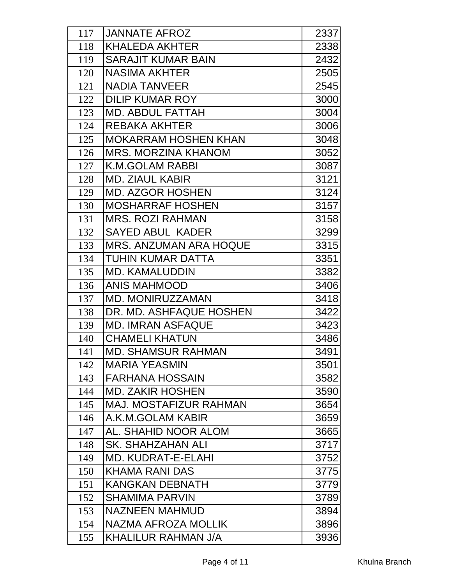| 117 | <b>JANNATE AFROZ</b>          | 2337 |
|-----|-------------------------------|------|
| 118 | <b>KHALEDA AKHTER</b>         | 2338 |
| 119 | <b>SARAJIT KUMAR BAIN</b>     | 2432 |
| 120 | <b>NASIMA AKHTER</b>          | 2505 |
| 121 | <b>NADIA TANVEER</b>          | 2545 |
| 122 | <b>DILIP KUMAR ROY</b>        | 3000 |
| 123 | <b>MD. ABDUL FATTAH</b>       | 3004 |
| 124 | <b>REBAKA AKHTER</b>          | 3006 |
| 125 | <b>MOKARRAM HOSHEN KHAN</b>   | 3048 |
| 126 | <b>MRS. MORZINA KHANOM</b>    | 3052 |
| 127 | <b>K.M.GOLAM RABBI</b>        | 3087 |
| 128 | <b>MD. ZIAUL KABIR</b>        | 3121 |
| 129 | <b>MD. AZGOR HOSHEN</b>       | 3124 |
| 130 | <b>MOSHARRAF HOSHEN</b>       | 3157 |
| 131 | <b>MRS. ROZI RAHMAN</b>       | 3158 |
| 132 | <b>SAYED ABUL KADER</b>       | 3299 |
| 133 | <b>MRS. ANZUMAN ARA HOQUE</b> | 3315 |
| 134 | <b>TUHIN KUMAR DATTA</b>      | 3351 |
| 135 | <b>MD. KAMALUDDIN</b>         | 3382 |
| 136 | <b>ANIS MAHMOOD</b>           | 3406 |
| 137 | <b>MD. MONIRUZZAMAN</b>       | 3418 |
| 138 | DR. MD. ASHFAQUE HOSHEN       | 3422 |
| 139 | <b>MD. IMRAN ASFAQUE</b>      | 3423 |
| 140 | <b>CHAMELI KHATUN</b>         | 3486 |
| 141 | <b>MD. SHAMSUR RAHMAN</b>     | 3491 |
| 142 | <b>MARIA YEASMIN</b>          | 3501 |
| 143 | <b>FARHANA HOSSAIN</b>        | 3582 |
| 144 | <b>MD. ZAKIR HOSHEN</b>       | 3590 |
| 145 | <b>MAJ. MOSTAFIZUR RAHMAN</b> | 3654 |
| 146 | A.K.M.GOLAM KABIR             | 3659 |
| 147 | AL. SHAHID NOOR ALOM          | 3665 |
| 148 | SK. SHAHZAHAN ALI             | 3717 |
| 149 | <b>MD. KUDRAT-E-ELAHI</b>     | 3752 |
| 150 | <b>KHAMA RANI DAS</b>         | 3775 |
| 151 | <b>KANGKAN DEBNATH</b>        | 3779 |
| 152 | <b>SHAMIMA PARVIN</b>         | 3789 |
| 153 | <b>NAZNEEN MAHMUD</b>         | 3894 |
| 154 | <b>NAZMA AFROZA MOLLIK</b>    | 3896 |
| 155 | <b>KHALILUR RAHMAN J/A</b>    | 3936 |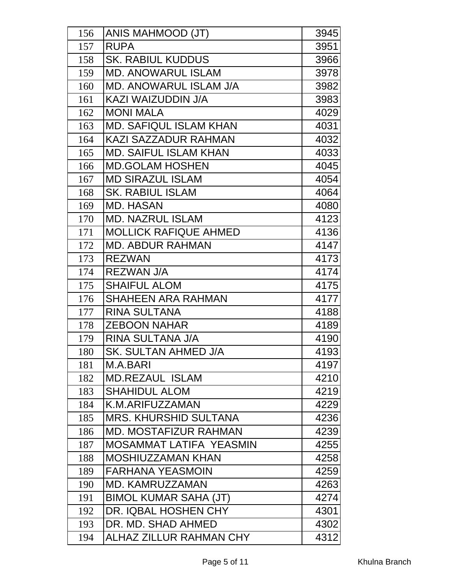| 156 | ANIS MAHMOOD (JT)              | 3945 |
|-----|--------------------------------|------|
| 157 | <b>RUPA</b>                    | 3951 |
| 158 | <b>SK. RABIUL KUDDUS</b>       | 3966 |
| 159 | <b>MD. ANOWARUL ISLAM</b>      | 3978 |
| 160 | <b>MD. ANOWARUL ISLAM J/A</b>  | 3982 |
| 161 | KAZI WAIZUDDIN J/A             | 3983 |
| 162 | <b>MONI MALA</b>               | 4029 |
| 163 | <b>MD. SAFIQUL ISLAM KHAN</b>  | 4031 |
| 164 | KAZI SAZZADUR RAHMAN           | 4032 |
| 165 | <b>MD. SAIFUL ISLAM KHAN</b>   | 4033 |
| 166 | <b>MD.GOLAM HOSHEN</b>         | 4045 |
| 167 | <b>MD SIRAZUL ISLAM</b>        | 4054 |
| 168 | <b>SK. RABIUL ISLAM</b>        | 4064 |
| 169 | <b>MD. HASAN</b>               | 4080 |
| 170 | <b>MD. NAZRUL ISLAM</b>        | 4123 |
| 171 | <b>MOLLICK RAFIQUE AHMED</b>   | 4136 |
| 172 | <b>MD. ABDUR RAHMAN</b>        | 4147 |
| 173 | <b>REZWAN</b>                  | 4173 |
| 174 | <b>REZWAN J/A</b>              | 4174 |
| 175 | <b>SHAIFUL ALOM</b>            | 4175 |
| 176 | <b>SHAHEEN ARA RAHMAN</b>      | 4177 |
| 177 | <b>RINA SULTANA</b>            | 4188 |
| 178 | <b>ZEBOON NAHAR</b>            | 4189 |
| 179 | RINA SULTANA J/A               | 4190 |
| 180 | <b>SK. SULTAN AHMED J/A</b>    | 4193 |
| 181 | M.A.BARI                       | 4197 |
| 182 | <b>MD.REZAUL ISLAM</b>         | 4210 |
| 183 | <b>SHAHIDUL ALOM</b>           | 4219 |
| 184 | K.M.ARIFUZZAMAN                | 4229 |
| 185 | <b>MRS. KHURSHID SULTANA</b>   | 4236 |
| 186 | <b>MD. MOSTAFIZUR RAHMAN</b>   | 4239 |
| 187 | MOSAMMAT LATIFA YEASMIN        | 4255 |
| 188 | <b>MOSHIUZZAMAN KHAN</b>       | 4258 |
| 189 | <b>FARHANA YEASMOIN</b>        | 4259 |
| 190 | <b>MD. KAMRUZZAMAN</b>         | 4263 |
| 191 | <b>BIMOL KUMAR SAHA (JT)</b>   | 4274 |
| 192 | DR. IQBAL HOSHEN CHY           | 4301 |
| 193 | DR. MD. SHAD AHMED             | 4302 |
| 194 | <b>ALHAZ ZILLUR RAHMAN CHY</b> | 4312 |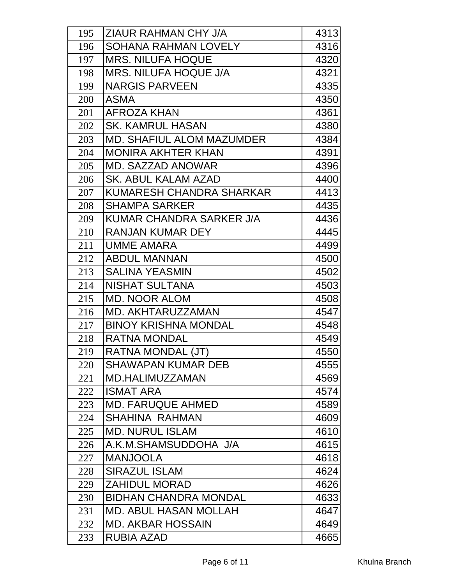| 195 | ZIAUR RAHMAN CHY J/A             | 4313 |
|-----|----------------------------------|------|
| 196 | <b>SOHANA RAHMAN LOVELY</b>      | 4316 |
| 197 | <b>MRS. NILUFA HOQUE</b>         | 4320 |
| 198 | <b>MRS. NILUFA HOQUE J/A</b>     | 4321 |
| 199 | <b>NARGIS PARVEEN</b>            | 4335 |
| 200 | <b>ASMA</b>                      | 4350 |
| 201 | <b>AFROZA KHAN</b>               | 4361 |
| 202 | <b>SK. KAMRUL HASAN</b>          | 4380 |
| 203 | <b>MD. SHAFIUL ALOM MAZUMDER</b> | 4384 |
| 204 | <b>MONIRA AKHTER KHAN</b>        | 4391 |
| 205 | <b>MD. SAZZAD ANOWAR</b>         | 4396 |
| 206 | <b>SK. ABUL KALAM AZAD</b>       | 4400 |
| 207 | KUMARESH CHANDRA SHARKAR         | 4413 |
| 208 | <b>SHAMPA SARKER</b>             | 4435 |
| 209 | KUMAR CHANDRA SARKER J/A         | 4436 |
| 210 | <b>RANJAN KUMAR DEY</b>          | 4445 |
| 211 | <b>UMME AMARA</b>                | 4499 |
| 212 | <b>ABDUL MANNAN</b>              | 4500 |
| 213 | <b>SALINA YEASMIN</b>            | 4502 |
| 214 | <b>NISHAT SULTANA</b>            | 4503 |
| 215 | <b>MD. NOOR ALOM</b>             | 4508 |
| 216 | <b>MD. AKHTARUZZAMAN</b>         | 4547 |
| 217 | <b>BINOY KRISHNA MONDAL</b>      | 4548 |
| 218 | <b>RATNA MONDAL</b>              | 4549 |
| 219 | RATNA MONDAL (JT)                | 4550 |
| 220 | <b>SHAWAPAN KUMAR DEB</b>        | 4555 |
| 221 | MD.HALIMUZZAMAN                  | 4569 |
| 222 | <b>ISMAT ARA</b>                 | 4574 |
| 223 | <b>MD. FARUQUE AHMED</b>         | 4589 |
| 224 | <b>SHAHINA RAHMAN</b>            | 4609 |
| 225 | <b>MD. NURUL ISLAM</b>           | 4610 |
| 226 | A.K.M.SHAMSUDDOHA J/A            | 4615 |
| 227 | <b>MANJOOLA</b>                  | 4618 |
| 228 | <b>SIRAZUL ISLAM</b>             | 4624 |
| 229 | <b>ZAHIDUL MORAD</b>             | 4626 |
| 230 | <b>BIDHAN CHANDRA MONDAL</b>     | 4633 |
| 231 | <b>MD. ABUL HASAN MOLLAH</b>     | 4647 |
| 232 | <b>MD. AKBAR HOSSAIN</b>         | 4649 |
| 233 | <b>RUBIA AZAD</b>                | 4665 |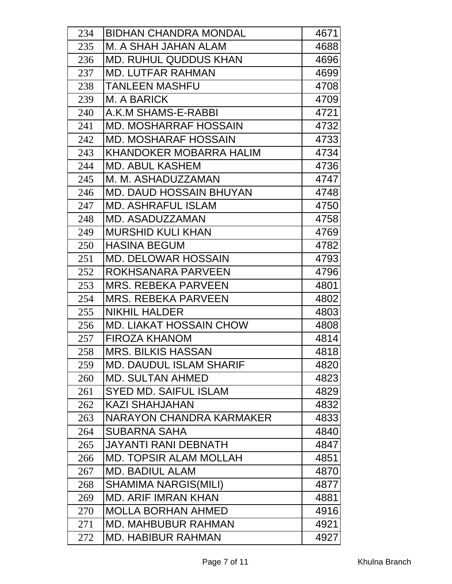| 234 | <b>BIDHAN CHANDRA MONDAL</b>   | 4671 |
|-----|--------------------------------|------|
| 235 | M. A SHAH JAHAN ALAM           | 4688 |
| 236 | <b>MD. RUHUL QUDDUS KHAN</b>   | 4696 |
| 237 | <b>MD. LUTFAR RAHMAN</b>       | 4699 |
| 238 | <b>TANLEEN MASHFU</b>          | 4708 |
| 239 | M. A BARICK                    | 4709 |
| 240 | A.K.M SHAMS-E-RABBI            | 4721 |
| 241 | <b>MD. MOSHARRAF HOSSAIN</b>   | 4732 |
| 242 | <b>MD. MOSHARAF HOSSAIN</b>    | 4733 |
| 243 | KHANDOKER MOBARRA HALIM        | 4734 |
| 244 | <b>MD. ABUL KASHEM</b>         | 4736 |
| 245 | M. M. ASHADUZZAMAN             | 4747 |
| 246 | <b>MD. DAUD HOSSAIN BHUYAN</b> | 4748 |
| 247 | <b>MD. ASHRAFUL ISLAM</b>      | 4750 |
| 248 | <b>MD. ASADUZZAMAN</b>         | 4758 |
| 249 | <b>MURSHID KULI KHAN</b>       | 4769 |
| 250 | <b>HASINA BEGUM</b>            | 4782 |
| 251 | <b>MD. DELOWAR HOSSAIN</b>     | 4793 |
| 252 | ROKHSANARA PARVEEN             | 4796 |
| 253 | <b>MRS. REBEKA PARVEEN</b>     | 4801 |
| 254 | <b>MRS. REBEKA PARVEEN</b>     | 4802 |
| 255 | <b>NIKHIL HALDER</b>           | 4803 |
| 256 | <b>MD. LIAKAT HOSSAIN CHOW</b> | 4808 |
| 257 | <b>FIROZA KHANOM</b>           | 4814 |
| 258 | <b>MRS. BILKIS HASSAN</b>      | 4818 |
| 259 | <b>MD. DAUDUL ISLAM SHARIF</b> | 4820 |
| 260 | <b>MD. SULTAN AHMED</b>        | 4823 |
| 261 | <b>SYED MD. SAIFUL ISLAM</b>   | 4829 |
| 262 | KAZI SHAHJAHAN                 | 4832 |
| 263 | NARAYON CHANDRA KARMAKER       | 4833 |
| 264 | <b>SUBARNA SAHA</b>            | 4840 |
| 265 | JAYANTI RANI DEBNATH           | 4847 |
| 266 | <b>MD. TOPSIR ALAM MOLLAH</b>  | 4851 |
| 267 | <b>MD. BADIUL ALAM</b>         | 4870 |
| 268 | <b>SHAMIMA NARGIS(MILI)</b>    | 4877 |
| 269 | <b>MD. ARIF IMRAN KHAN</b>     | 4881 |
| 270 | <b>MOLLA BORHAN AHMED</b>      | 4916 |
| 271 | <b>MD. MAHBUBUR RAHMAN</b>     | 4921 |
| 272 | <b>MD. HABIBUR RAHMAN</b>      | 4927 |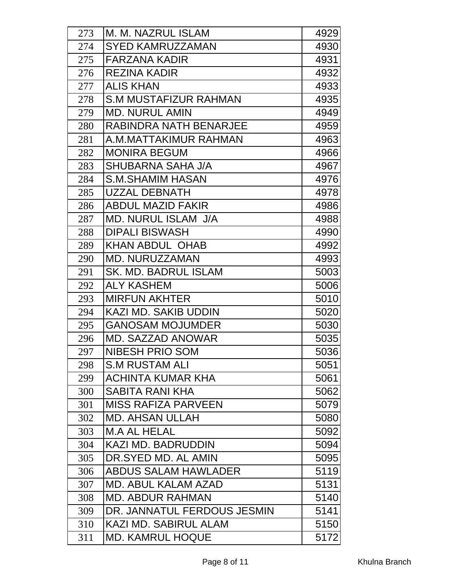| 273 | M. M. NAZRUL ISLAM           | 4929 |
|-----|------------------------------|------|
| 274 | <b>SYED KAMRUZZAMAN</b>      | 4930 |
| 275 | <b>FARZANA KADIR</b>         | 4931 |
| 276 | <b>REZINA KADIR</b>          | 4932 |
| 277 | <b>ALIS KHAN</b>             | 4933 |
| 278 | <b>S.M MUSTAFIZUR RAHMAN</b> | 4935 |
| 279 | <b>MD. NURUL AMIN</b>        | 4949 |
| 280 | RABINDRA NATH BENARJEE       | 4959 |
| 281 | A.M.MATTAKIMUR RAHMAN        | 4963 |
| 282 | <b>MONIRA BEGUM</b>          | 4966 |
| 283 | SHUBARNA SAHA J/A            | 4967 |
| 284 | S.M.SHAMIM HASAN             | 4976 |
| 285 | <b>UZZAL DEBNATH</b>         | 4978 |
| 286 | <b>ABDUL MAZID FAKIR</b>     | 4986 |
| 287 | <b>MD. NURUL ISLAM J/A</b>   | 4988 |
| 288 | <b>DIPALI BISWASH</b>        | 4990 |
| 289 | <b>KHAN ABDUL OHAB</b>       | 4992 |
| 290 | <b>MD. NURUZZAMAN</b>        | 4993 |
| 291 | <b>SK. MD. BADRUL ISLAM</b>  | 5003 |
| 292 | <b>ALY KASHEM</b>            | 5006 |
| 293 | <b>MIRFUN AKHTER</b>         | 5010 |
| 294 | KAZI MD. SAKIB UDDIN         | 5020 |
| 295 | <b>GANOSAM MOJUMDER</b>      | 5030 |
| 296 | <b>MD. SAZZAD ANOWAR</b>     | 5035 |
| 297 | <b>NIBESH PRIO SOM</b>       | 5036 |
| 298 | <b>S.M RUSTAM ALI</b>        | 5051 |
| 299 | <b>ACHINTA KUMAR KHA</b>     | 5061 |
| 300 | SABITA RANI KHA              | 5062 |
| 301 | <b>MISS RAFIZA PARVEEN</b>   | 5079 |
| 302 | <b>MD. AHSAN ULLAH</b>       | 5080 |
| 303 | <b>M.A AL HELAL</b>          | 5092 |
| 304 | <b>KAZI MD. BADRUDDIN</b>    | 5094 |
| 305 | DR.SYED MD. AL AMIN          | 5095 |
| 306 | <b>ABDUS SALAM HAWLADER</b>  | 5119 |
| 307 | <b>MD. ABUL KALAM AZAD</b>   | 5131 |
| 308 | <b>MD. ABDUR RAHMAN</b>      | 5140 |
| 309 | DR. JANNATUL FERDOUS JESMIN  | 5141 |
| 310 | <b>KAZI MD. SABIRUL ALAM</b> | 5150 |
| 311 | <b>MD. KAMRUL HOQUE</b>      | 5172 |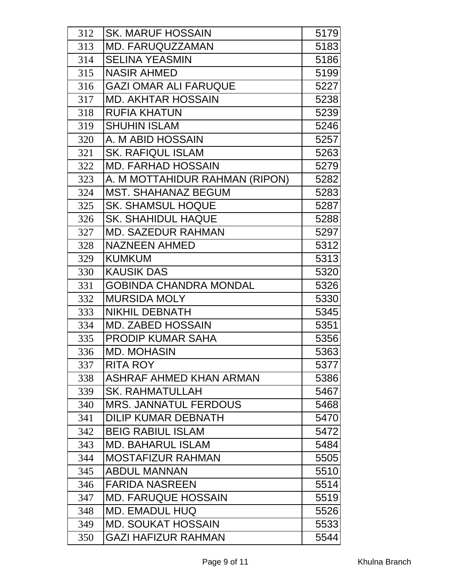| 312 | <b>SK. MARUF HOSSAIN</b>       | 5179 |
|-----|--------------------------------|------|
| 313 | <b>MD. FARUQUZZAMAN</b>        | 5183 |
| 314 | <b>SELINA YEASMIN</b>          | 5186 |
| 315 | <b>NASIR AHMED</b>             | 5199 |
| 316 | <b>GAZI OMAR ALI FARUQUE</b>   | 5227 |
| 317 | <b>MD. AKHTAR HOSSAIN</b>      | 5238 |
| 318 | <b>RUFIA KHATUN</b>            | 5239 |
| 319 | <b>SHUHIN ISLAM</b>            | 5246 |
| 320 | A. M ABID HOSSAIN              | 5257 |
| 321 | <b>SK. RAFIQUL ISLAM</b>       | 5263 |
| 322 | <b>MD. FARHAD HOSSAIN</b>      | 5279 |
| 323 | A. M MOTTAHIDUR RAHMAN (RIPON) | 5282 |
| 324 | <b>MST. SHAHANAZ BEGUM</b>     | 5283 |
| 325 | <b>SK. SHAMSUL HOQUE</b>       | 5287 |
| 326 | <b>SK. SHAHIDUL HAQUE</b>      | 5288 |
| 327 | <b>MD. SAZEDUR RAHMAN</b>      | 5297 |
| 328 | <b>NAZNEEN AHMED</b>           | 5312 |
| 329 | <b>KUMKUM</b>                  | 5313 |
| 330 | <b>KAUSIK DAS</b>              | 5320 |
| 331 | <b>GOBINDA CHANDRA MONDAL</b>  | 5326 |
| 332 | <b>MURSIDA MOLY</b>            | 5330 |
| 333 | <b>NIKHIL DEBNATH</b>          | 5345 |
| 334 | <b>MD. ZABED HOSSAIN</b>       | 5351 |
| 335 | <b>PRODIP KUMAR SAHA</b>       | 5356 |
| 336 | <b>MD. MOHASIN</b>             | 5363 |
| 337 | <b>RITA ROY</b>                | 5377 |
| 338 | ASHRAF AHMED KHAN ARMAN        | 5386 |
| 339 | <b>SK. RAHMATULLAH</b>         | 5467 |
| 340 | <b>MRS. JANNATUL FERDOUS</b>   | 5468 |
| 341 | <b>DILIP KUMAR DEBNATH</b>     | 5470 |
| 342 | <b>BEIG RABIUL ISLAM</b>       | 5472 |
| 343 | <b>MD. BAHARUL ISLAM</b>       | 5484 |
| 344 | <b>MOSTAFIZUR RAHMAN</b>       | 5505 |
| 345 | <b>ABDUL MANNAN</b>            | 5510 |
| 346 | <b>FARIDA NASREEN</b>          | 5514 |
| 347 | <b>MD. FARUQUE HOSSAIN</b>     | 5519 |
| 348 | <b>MD. EMADUL HUQ</b>          | 5526 |
| 349 | <b>MD. SOUKAT HOSSAIN</b>      | 5533 |
| 350 | <b>GAZI HAFIZUR RAHMAN</b>     | 5544 |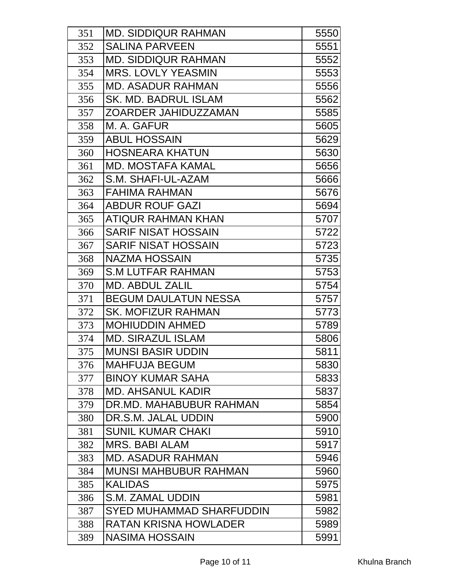| 351 | <b>MD. SIDDIQUR RAHMAN</b>   | 5550 |
|-----|------------------------------|------|
| 352 | <b>SALINA PARVEEN</b>        | 5551 |
| 353 | <b>MD. SIDDIQUR RAHMAN</b>   | 5552 |
| 354 | <b>MRS. LOVLY YEASMIN</b>    | 5553 |
| 355 | <b>MD. ASADUR RAHMAN</b>     | 5556 |
| 356 | <b>SK. MD. BADRUL ISLAM</b>  | 5562 |
| 357 | ZOARDER JAHIDUZZAMAN         | 5585 |
| 358 | M. A. GAFUR                  | 5605 |
| 359 | <b>ABUL HOSSAIN</b>          | 5629 |
| 360 | <b>HOSNEARA KHATUN</b>       | 5630 |
| 361 | <b>MD. MOSTAFA KAMAL</b>     | 5656 |
| 362 | S.M. SHAFI-UL-AZAM           | 5666 |
| 363 | <b>FAHIMA RAHMAN</b>         | 5676 |
| 364 | <b>ABDUR ROUF GAZI</b>       | 5694 |
| 365 | <b>ATIQUR RAHMAN KHAN</b>    | 5707 |
| 366 | <b>SARIF NISAT HOSSAIN</b>   | 5722 |
| 367 | <b>SARIF NISAT HOSSAIN</b>   | 5723 |
| 368 | <b>NAZMA HOSSAIN</b>         | 5735 |
| 369 | <b>S.M LUTFAR RAHMAN</b>     | 5753 |
| 370 | <b>MD. ABDUL ZALIL</b>       | 5754 |
| 371 | <b>BEGUM DAULATUN NESSA</b>  | 5757 |
| 372 | <b>SK. MOFIZUR RAHMAN</b>    | 5773 |
| 373 | <b>MOHIUDDIN AHMED</b>       | 5789 |
| 374 | <b>MD. SIRAZUL ISLAM</b>     | 5806 |
| 375 | <b>MUNSI BASIR UDDIN</b>     | 5811 |
| 376 | <b>MAHFUJA BEGUM</b>         | 5830 |
| 377 | <b>BINOY KUMAR SAHA</b>      | 5833 |
| 378 | <b>MD. AHSANUL KADIR</b>     | 5837 |
| 379 | DR.MD. MAHABUBUR RAHMAN      | 5854 |
| 380 | DR.S.M. JALAL UDDIN          | 5900 |
| 381 | <b>SUNIL KUMAR CHAKI</b>     | 5910 |
| 382 | <b>MRS. BABI ALAM</b>        | 5917 |
| 383 | <b>MD. ASADUR RAHMAN</b>     | 5946 |
| 384 | <b>MUNSI MAHBUBUR RAHMAN</b> | 5960 |
| 385 | <b>KALIDAS</b>               | 5975 |
| 386 | S.M. ZAMAL UDDIN             | 5981 |
| 387 | SYED MUHAMMAD SHARFUDDIN     | 5982 |
| 388 | <b>RATAN KRISNA HOWLADER</b> | 5989 |
| 389 | <b>NASIMA HOSSAIN</b>        | 5991 |